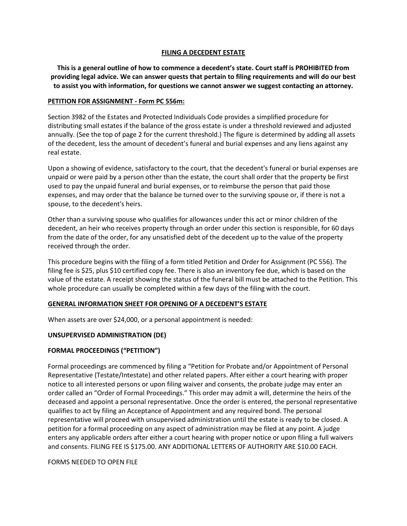### **FILING A DECEDENT ESTATE**

**This is a general outline of how to commence a decedent's state. Court staff is PROHIBITED from providing legal advice. We can answer quests that pertain to filing requirements and will do our best to assist you with information, for questions we cannot answer we suggest contacting an attorney.**

#### **PETITION FOR ASSIGNMENT - Form PC 556m:**

Section 3982 of the Estates and Protected Individuals Code provides a simplified procedure for distributing small estates if the balance of the gross estate is under a threshold reviewed and adjusted annually. (See the top of page 2 for the current threshold.) The figure is determined by adding all assets of the decedent, less the amount of decedent's funeral and burial expenses and any liens against any real estate.

Upon a showing of evidence, satisfactory to the court, that the decedent's funeral or burial expenses are unpaid or were paid by a person other than the estate, the court shall order that the property be first used to pay the unpaid funeral and burial expenses, or to reimburse the person that paid those expenses, and may order that the balance be turned over to the surviving spouse or, if there is not a spouse, to the decedent's heirs.

Other than a surviving spouse who qualifies for allowances under this act or minor children of the decedent, an heir who receives property through an order under this section is responsible, for 60 days from the date of the order, for any unsatisfied debt of the decedent up to the value of the property received through the order.

This procedure begins with the filing of a form titled Petition and Order for Assignment (PC 556). The filing fee is \$25, plus \$10 certified copy fee. There is also an inventory fee due, which is based on the value of the estate. A receipt showing the status of the funeral bill must be attached to the Petition. This whole procedure can usually be completed within a few days of the filing with the court.

### **GENERAL INFORMATION SHEET FOR OPENING OF A DECEDENT'S ESTATE**

When assets are over \$24,000, or a personal appointment is needed:

### **UNSUPERVISED ADMINISTRATION (DE)**

### **FORMAL PROCEEDINGS ("PETITION")**

Formal proceedings are commenced by filing a "Petition for Probate and/or Appointment of Personal Representative (Testate/Intestate) and other related papers. After either a court hearing with proper notice to all interested persons or upon filing waiver and consents, the probate judge may enter an order called an "Order of Formal Proceedings." This order may admit a will, determine the heirs of the deceased and appoint a personal representative. Once the order is entered, the personal representative qualifies to act by filing an Acceptance of Appointment and any required bond. The personal representative will proceed with unsupervised administration until the estate is ready to be closed. A petition for a formal proceeding on any aspect of administration may be filed at any point. A judge enters any applicable orders after either a court hearing with proper notice or upon filing a full waivers and consents. FILING FEE IS \$175.00. ANY ADDITIONAL LETTERS OF AUTHORITY ARE \$10.00 EACH.

FORMS NEEDED TO OPEN FILE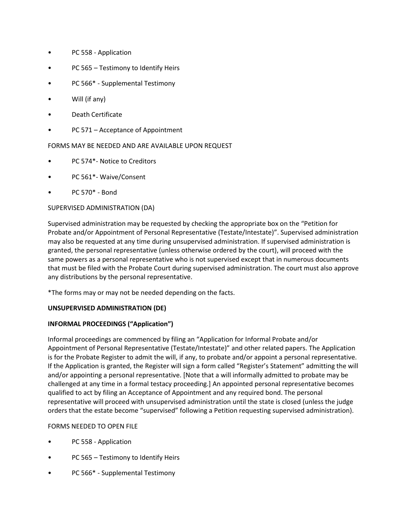- PC 558 Application
- PC 565 Testimony to Identify Heirs
- PC 566\* Supplemental Testimony
- Will (if any)
- Death Certificate
- PC 571 Acceptance of Appointment

# FORMS MAY BE NEEDED AND ARE AVAILABLE UPON REQUEST

- PC 574\*- Notice to Creditors
- PC 561\*- Waive/Consent
- PC 570\* Bond

## SUPERVISED ADMINISTRATION (DA)

Supervised administration may be requested by checking the appropriate box on the "Petition for Probate and/or Appointment of Personal Representative (Testate/Intestate)". Supervised administration may also be requested at any time during unsupervised administration. If supervised administration is granted, the personal representative (unless otherwise ordered by the court), will proceed with the same powers as a personal representative who is not supervised except that in numerous documents that must be filed with the Probate Court during supervised administration. The court must also approve any distributions by the personal representative.

\*The forms may or may not be needed depending on the facts.

# **UNSUPERVISED ADMINISTRATION (DE)**

### **INFORMAL PROCEEDINGS ("Application")**

Informal proceedings are commenced by filing an "Application for Informal Probate and/or Appointment of Personal Representative (Testate/Intestate)" and other related papers. The Application is for the Probate Register to admit the will, if any, to probate and/or appoint a personal representative. If the Application is granted, the Register will sign a form called "Register's Statement" admitting the will and/or appointing a personal representative. [Note that a will informally admitted to probate may be challenged at any time in a formal testacy proceeding.] An appointed personal representative becomes qualified to act by filing an Acceptance of Appointment and any required bond. The personal representative will proceed with unsupervised administration until the state is closed (unless the judge orders that the estate become "supervised" following a Petition requesting supervised administration).

### FORMS NEEDED TO OPEN FILE

- PC 558 Application
- PC 565 Testimony to Identify Heirs
- PC 566\* Supplemental Testimony